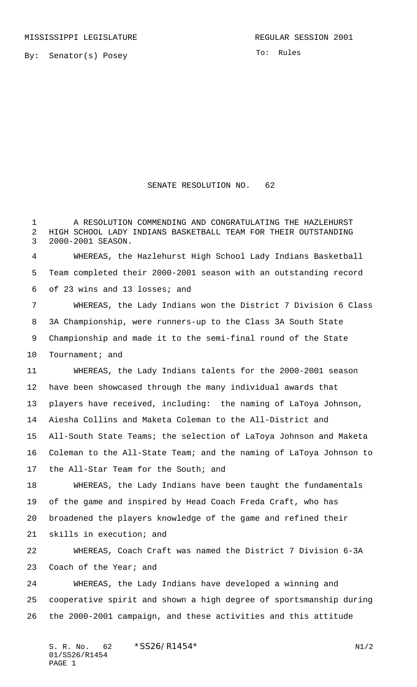By: Senator(s) Posey

To: Rules

## SENATE RESOLUTION NO. 62

 A RESOLUTION COMMENDING AND CONGRATULATING THE HAZLEHURST HIGH SCHOOL LADY INDIANS BASKETBALL TEAM FOR THEIR OUTSTANDING 2000-2001 SEASON.

 WHEREAS, the Hazlehurst High School Lady Indians Basketball Team completed their 2000-2001 season with an outstanding record of 23 wins and 13 losses; and

 WHEREAS, the Lady Indians won the District 7 Division 6 Class 3A Championship, were runners-up to the Class 3A South State Championship and made it to the semi-final round of the State 10 Tournament; and

 WHEREAS, the Lady Indians talents for the 2000-2001 season have been showcased through the many individual awards that players have received, including: the naming of LaToya Johnson, Aiesha Collins and Maketa Coleman to the All-District and All-South State Teams; the selection of LaToya Johnson and Maketa Coleman to the All-State Team; and the naming of LaToya Johnson to the All-Star Team for the South; and

 WHEREAS, the Lady Indians have been taught the fundamentals of the game and inspired by Head Coach Freda Craft, who has broadened the players knowledge of the game and refined their

skills in execution; and

 WHEREAS, Coach Craft was named the District 7 Division 6-3A 23 Coach of the Year; and

 WHEREAS, the Lady Indians have developed a winning and cooperative spirit and shown a high degree of sportsmanship during the 2000-2001 campaign, and these activities and this attitude